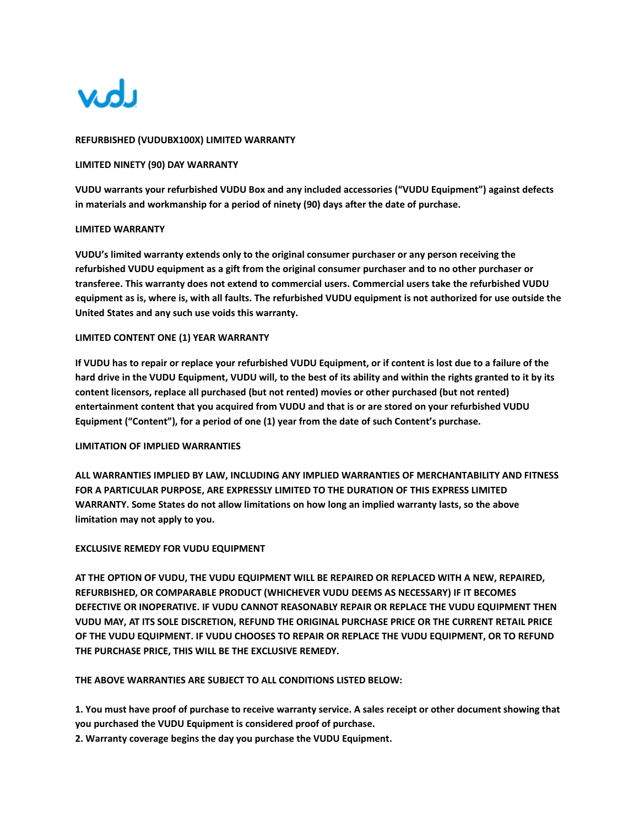

## **REFURBISHED (VUDUBX100X) LIMITED WARRANTY**

### **LIMITED NINETY (90) DAY WARRANTY**

**VUDU warrants your refurbished VUDU Box and any included accessories ("VUDU Equipment") against defects in materials and workmanship for a period of ninety (90) days after the date of purchase.**

#### **LIMITED WARRANTY**

**VUDU's limited warranty extends only to the original consumer purchaser or any person receiving the refurbished VUDU equipment as a gift from the original consumer purchaser and to no other purchaser or transferee. This warranty does not extend to commercial users. Commercial users take the refurbished VUDU equipment as is, where is, with all faults. The refurbished VUDU equipment is not authorized for use outside the United States and any such use voids this warranty.**

#### **LIMITED CONTENT ONE (1) YEAR WARRANTY**

**If VUDU has to repair or replace your refurbished VUDU Equipment, or if content is lost due to a failure of the hard drive in the VUDU Equipment, VUDU will, to the best of its ability and within the rights granted to it by its content licensors, replace all purchased (but not rented) movies or other purchased (but not rented) entertainment content that you acquired from VUDU and that is or are stored on your refurbished VUDU Equipment ("Content"), for a period of one (1) year from the date of such Content's purchase.**

## **LIMITATION OF IMPLIED WARRANTIES**

**ALL WARRANTIES IMPLIED BY LAW, INCLUDING ANY IMPLIED WARRANTIES OF MERCHANTABILITY AND FITNESS FOR A PARTICULAR PURPOSE, ARE EXPRESSLY LIMITED TO THE DURATION OF THIS EXPRESS LIMITED WARRANTY. Some States do not allow limitations on how long an implied warranty lasts, so the above limitation may not apply to you.**

#### **EXCLUSIVE REMEDY FOR VUDU EQUIPMENT**

**AT THE OPTION OF VUDU, THE VUDU EQUIPMENT WILL BE REPAIRED OR REPLACED WITH A NEW, REPAIRED, REFURBISHED, OR COMPARABLE PRODUCT (WHICHEVER VUDU DEEMS AS NECESSARY) IF IT BECOMES DEFECTIVE OR INOPERATIVE. IF VUDU CANNOT REASONABLY REPAIR OR REPLACE THE VUDU EQUIPMENT THEN VUDU MAY, AT ITS SOLE DISCRETION, REFUND THE ORIGINAL PURCHASE PRICE OR THE CURRENT RETAIL PRICE OF THE VUDU EQUIPMENT. IF VUDU CHOOSES TO REPAIR OR REPLACE THE VUDU EQUIPMENT, OR TO REFUND THE PURCHASE PRICE, THIS WILL BE THE EXCLUSIVE REMEDY.**

**THE ABOVE WARRANTIES ARE SUBJECT TO ALL CONDITIONS LISTED BELOW:**

**1. You must have proof of purchase to receive warranty service. A sales receipt or other document showing that you purchased the VUDU Equipment is considered proof of purchase.**

**2. Warranty coverage begins the day you purchase the VUDU Equipment.**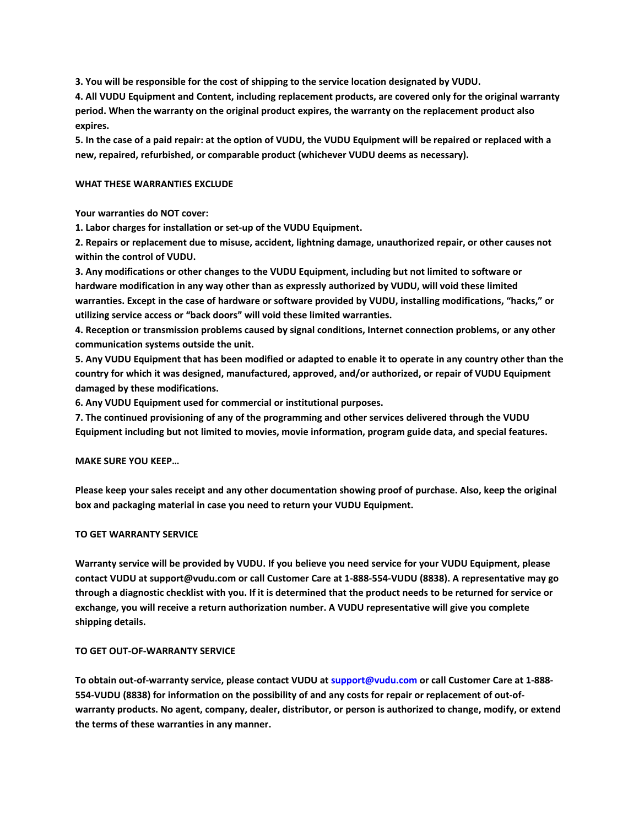**3. You will be responsible for the cost of shipping to the service location designated by VUDU.**

**4. All VUDU Equipment and Content, including replacement products, are covered only for the original warranty period. When the warranty on the original product expires, the warranty on the replacement product also expires.**

**5. In the case of a paid repair: at the option of VUDU, the VUDU Equipment will be repaired or replaced with a new, repaired, refurbished, or comparable product (whichever VUDU deems as necessary).**

## **WHAT THESE WARRANTIES EXCLUDE**

**Your warranties do NOT cover:**

**1. Labor charges for installation or set-up of the VUDU Equipment.**

**2. Repairs or replacement due to misuse, accident, lightning damage, unauthorized repair, or other causes not within the control of VUDU.**

**3. Any modifications or other changes to the VUDU Equipment, including but not limited to software or hardware modification in any way other than as expressly authorized by VUDU, will void these limited warranties. Except in the case of hardware or software provided by VUDU, installing modifications, "hacks," or utilizing service access or "back doors" will void these limited warranties.**

**4. Reception or transmission problems caused by signal conditions, Internet connection problems, or any other communication systems outside the unit.**

**5. Any VUDU Equipment that has been modified or adapted to enable it to operate in any country other than the country for which it was designed, manufactured, approved, and/or authorized, or repair of VUDU Equipment damaged by these modifications.**

**6. Any VUDU Equipment used for commercial or institutional purposes.** 

**7. The continued provisioning of any of the programming and other services delivered through the VUDU Equipment including but not limited to movies, movie information, program guide data, and special features.**

# **MAKE SURE YOU KEEP…**

**Please keep your sales receipt and any other documentation showing proof of purchase. Also, keep the original box and packaging material in case you need to return your VUDU Equipment.**

# **TO GET WARRANTY SERVICE**

**Warranty service will be provided by VUDU. If you believe you need service for your VUDU Equipment, please contact VUDU at support@vudu.com or call Customer Care at 1-888-554-VUDU (8838). A representative may go through a diagnostic checklist with you. If it is determined that the product needs to be returned for service or exchange, you will receive a return authorization number. A VUDU representative will give you complete shipping details.**

#### **TO GET OUT-OF-WARRANTY SERVICE**

**To obtain out-of-warranty service, please contact VUDU at support@vudu.com or call Customer Care at 1-888- 554-VUDU (8838) for information on the possibility of and any costs for repair or replacement of out-ofwarranty products. No agent, company, dealer, distributor, or person is authorized to change, modify, or extend the terms of these warranties in any manner.**